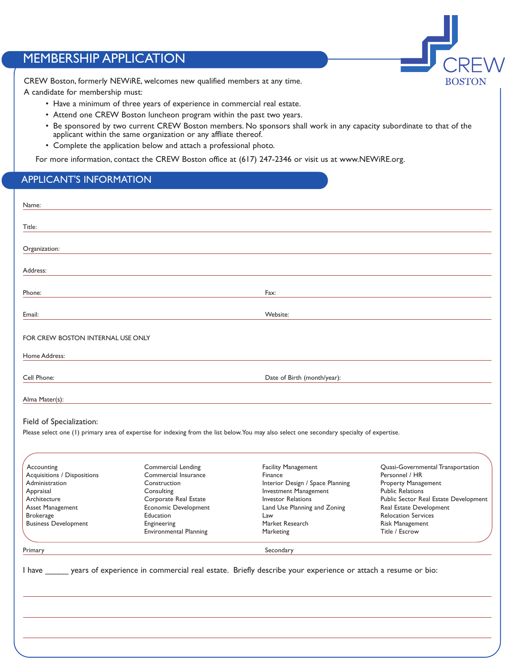## MEMBERSHIP APPLICATION

CREW Boston, formerly NEWiRE, welcomes new qualified members at any time.

A candidate for membership must:

- Have a minimum of three years of experience in commercial real estate.
- Attend one CREW Boston luncheon program within the past two years.
- Be sponsored by two current CREW Boston members. No sponsors shall work in any capacity subordinate to that of the applicant within the same organization or any affliate thereof.

-<br>CRE

**BOSTON** 

• Complete the application below and attach a professional photo.

For more information, contact the CREW Boston office at (617) 247-2346 or visit us at www.NEWiRE.org.

## APPLICANT'S INFORMATION

| Name:                                                                                                                                                                                       |                                                                                                                                                                                 |                                                                                                                                                                                                                                                                                                                                                              |                                                                                                                                                                                                                                              |  |  |  |  |
|---------------------------------------------------------------------------------------------------------------------------------------------------------------------------------------------|---------------------------------------------------------------------------------------------------------------------------------------------------------------------------------|--------------------------------------------------------------------------------------------------------------------------------------------------------------------------------------------------------------------------------------------------------------------------------------------------------------------------------------------------------------|----------------------------------------------------------------------------------------------------------------------------------------------------------------------------------------------------------------------------------------------|--|--|--|--|
| Title:                                                                                                                                                                                      |                                                                                                                                                                                 |                                                                                                                                                                                                                                                                                                                                                              |                                                                                                                                                                                                                                              |  |  |  |  |
| Organization:                                                                                                                                                                               |                                                                                                                                                                                 |                                                                                                                                                                                                                                                                                                                                                              |                                                                                                                                                                                                                                              |  |  |  |  |
| Address:                                                                                                                                                                                    |                                                                                                                                                                                 |                                                                                                                                                                                                                                                                                                                                                              |                                                                                                                                                                                                                                              |  |  |  |  |
| Phone:                                                                                                                                                                                      |                                                                                                                                                                                 | Fax:                                                                                                                                                                                                                                                                                                                                                         |                                                                                                                                                                                                                                              |  |  |  |  |
| Email:                                                                                                                                                                                      | Website:                                                                                                                                                                        |                                                                                                                                                                                                                                                                                                                                                              |                                                                                                                                                                                                                                              |  |  |  |  |
| FOR CREW BOSTON INTERNAL USE ONLY                                                                                                                                                           |                                                                                                                                                                                 |                                                                                                                                                                                                                                                                                                                                                              |                                                                                                                                                                                                                                              |  |  |  |  |
| Home Address:                                                                                                                                                                               |                                                                                                                                                                                 |                                                                                                                                                                                                                                                                                                                                                              |                                                                                                                                                                                                                                              |  |  |  |  |
| Cell Phone:                                                                                                                                                                                 | Date of Birth (month/year):                                                                                                                                                     |                                                                                                                                                                                                                                                                                                                                                              |                                                                                                                                                                                                                                              |  |  |  |  |
| Alma Mater(s):                                                                                                                                                                              |                                                                                                                                                                                 |                                                                                                                                                                                                                                                                                                                                                              |                                                                                                                                                                                                                                              |  |  |  |  |
| Field of Specialization:<br>Accounting<br>Acquisitions / Dispositions<br>Administration<br>Appraisal<br>Architecture<br>Asset Management<br><b>Brokerage</b><br><b>Business Development</b> | Commercial Lending<br>Commercial Insurance<br>Construction<br>Consulting<br>Corporate Real Estate<br>Economic Development<br>Education<br>Engineering<br>Environmental Planning | Please select one (1) primary area of expertise for indexing from the list below. You may also select one secondary specialty of expertise.<br><b>Facility Management</b><br>Finance<br>Interior Design / Space Planning<br><b>Investment Management</b><br><b>Investor Relations</b><br>Land Use Planning and Zoning<br>Law<br>Market Research<br>Marketing | Quasi-Governmental Transportation<br>Personnel / HR<br>Property Management<br><b>Public Relations</b><br>Public Sector Real Estate Development<br>Real Estate Development<br><b>Relocation Services</b><br>Risk Management<br>Title / Escrow |  |  |  |  |
|                                                                                                                                                                                             |                                                                                                                                                                                 |                                                                                                                                                                                                                                                                                                                                                              |                                                                                                                                                                                                                                              |  |  |  |  |
| Primary                                                                                                                                                                                     |                                                                                                                                                                                 | Secondary                                                                                                                                                                                                                                                                                                                                                    |                                                                                                                                                                                                                                              |  |  |  |  |
|                                                                                                                                                                                             |                                                                                                                                                                                 |                                                                                                                                                                                                                                                                                                                                                              |                                                                                                                                                                                                                                              |  |  |  |  |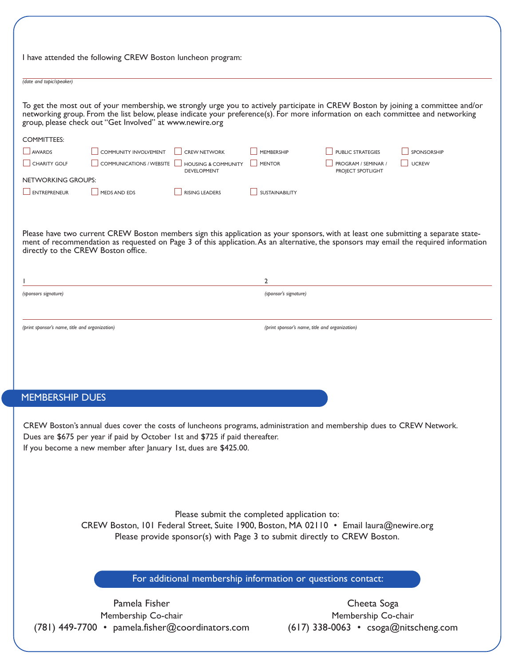| I have attended the following CREW Boston luncheon program:                                                                                                                                                       |                                                                                                                                                                                                                                                                          |                                                             |                       |                                                |                                                                                                                                                                                                                                                                             |  |  |
|-------------------------------------------------------------------------------------------------------------------------------------------------------------------------------------------------------------------|--------------------------------------------------------------------------------------------------------------------------------------------------------------------------------------------------------------------------------------------------------------------------|-------------------------------------------------------------|-----------------------|------------------------------------------------|-----------------------------------------------------------------------------------------------------------------------------------------------------------------------------------------------------------------------------------------------------------------------------|--|--|
| (date and topic/speaker)                                                                                                                                                                                          |                                                                                                                                                                                                                                                                          |                                                             |                       |                                                |                                                                                                                                                                                                                                                                             |  |  |
|                                                                                                                                                                                                                   | networking group. From the list below, please indicate your preference(s). For more information on each committee and networking<br>group, please check out "Get Involved" at www.newire.org                                                                             |                                                             |                       |                                                | To get the most out of your membership, we strongly urge you to actively participate in CREW Boston by joining a committee and/or                                                                                                                                           |  |  |
| <b>COMMITTEES:</b>                                                                                                                                                                                                |                                                                                                                                                                                                                                                                          |                                                             |                       |                                                |                                                                                                                                                                                                                                                                             |  |  |
| <b>AWARDS</b>                                                                                                                                                                                                     | COMMUNITY INVOLVEMENT                                                                                                                                                                                                                                                    | <b>CREW NETWORK</b>                                         | MEMBERSHIP            | <b>PUBLIC STRATEGIES</b>                       | SPONSORSHIP                                                                                                                                                                                                                                                                 |  |  |
| CHARITY GOLF                                                                                                                                                                                                      | <b>COMMUNICATIONS / WEBSITE</b>                                                                                                                                                                                                                                          | <b>HOUSING &amp; COMMUNITY</b>                              | <b>MENTOR</b>         | PROGRAM / SEMINAR /                            | <b>UCREW</b>                                                                                                                                                                                                                                                                |  |  |
| NETWORKING GROUPS:                                                                                                                                                                                                |                                                                                                                                                                                                                                                                          | <b>DEVELOPMENT</b>                                          |                       | PROJECT SPOTLIGHT                              |                                                                                                                                                                                                                                                                             |  |  |
| ENTREPRENEUR                                                                                                                                                                                                      | MEDS AND EDS                                                                                                                                                                                                                                                             | <b>RISING LEADERS</b>                                       | <b>SUSTAINABILITY</b> |                                                |                                                                                                                                                                                                                                                                             |  |  |
|                                                                                                                                                                                                                   |                                                                                                                                                                                                                                                                          |                                                             |                       |                                                |                                                                                                                                                                                                                                                                             |  |  |
| directly to the CREW Boston office.                                                                                                                                                                               |                                                                                                                                                                                                                                                                          |                                                             |                       |                                                | Please have two current CREW Boston members sign this application as your sponsors, with at least one submitting a separate state-<br>ment of recommendation as requested on Page 3 of this application. As an alternative, the sponsors may email the required information |  |  |
|                                                                                                                                                                                                                   |                                                                                                                                                                                                                                                                          |                                                             |                       |                                                |                                                                                                                                                                                                                                                                             |  |  |
|                                                                                                                                                                                                                   |                                                                                                                                                                                                                                                                          |                                                             | $\overline{2}$        |                                                |                                                                                                                                                                                                                                                                             |  |  |
| (sponsors signature)                                                                                                                                                                                              |                                                                                                                                                                                                                                                                          |                                                             | (sponsor's signature) |                                                |                                                                                                                                                                                                                                                                             |  |  |
|                                                                                                                                                                                                                   |                                                                                                                                                                                                                                                                          |                                                             |                       |                                                |                                                                                                                                                                                                                                                                             |  |  |
| (print sponsor's name, title and organization)                                                                                                                                                                    |                                                                                                                                                                                                                                                                          |                                                             |                       | (print sponsor's name, title and organization) |                                                                                                                                                                                                                                                                             |  |  |
|                                                                                                                                                                                                                   |                                                                                                                                                                                                                                                                          |                                                             |                       |                                                |                                                                                                                                                                                                                                                                             |  |  |
| <b>MEMBERSHIP DUES</b>                                                                                                                                                                                            |                                                                                                                                                                                                                                                                          |                                                             |                       |                                                |                                                                                                                                                                                                                                                                             |  |  |
|                                                                                                                                                                                                                   | CREW Boston's annual dues cover the costs of luncheons programs, administration and membership dues to CREW Network.<br>Dues are \$675 per year if paid by October 1st and \$725 if paid thereafter.<br>If you become a new member after January 1st, dues are \$425.00. |                                                             |                       |                                                |                                                                                                                                                                                                                                                                             |  |  |
| Please submit the completed application to:<br>CREW Boston, 101 Federal Street, Suite 1900, Boston, MA 02110 • Email laura@newire.org<br>Please provide sponsor(s) with Page 3 to submit directly to CREW Boston. |                                                                                                                                                                                                                                                                          |                                                             |                       |                                                |                                                                                                                                                                                                                                                                             |  |  |
|                                                                                                                                                                                                                   |                                                                                                                                                                                                                                                                          | For additional membership information or questions contact: |                       |                                                |                                                                                                                                                                                                                                                                             |  |  |
|                                                                                                                                                                                                                   | Pamela Fisher                                                                                                                                                                                                                                                            |                                                             |                       | Cheeta Soga                                    |                                                                                                                                                                                                                                                                             |  |  |
| Membership Co-chair                                                                                                                                                                                               |                                                                                                                                                                                                                                                                          |                                                             |                       | Membership Co-chair                            |                                                                                                                                                                                                                                                                             |  |  |
|                                                                                                                                                                                                                   |                                                                                                                                                                                                                                                                          |                                                             |                       |                                                |                                                                                                                                                                                                                                                                             |  |  |
|                                                                                                                                                                                                                   | (781) 449-7700 • pamela.fisher@coordinators.com                                                                                                                                                                                                                          |                                                             |                       | $(617)$ 338-0063 • csoga@nitscheng.com         |                                                                                                                                                                                                                                                                             |  |  |